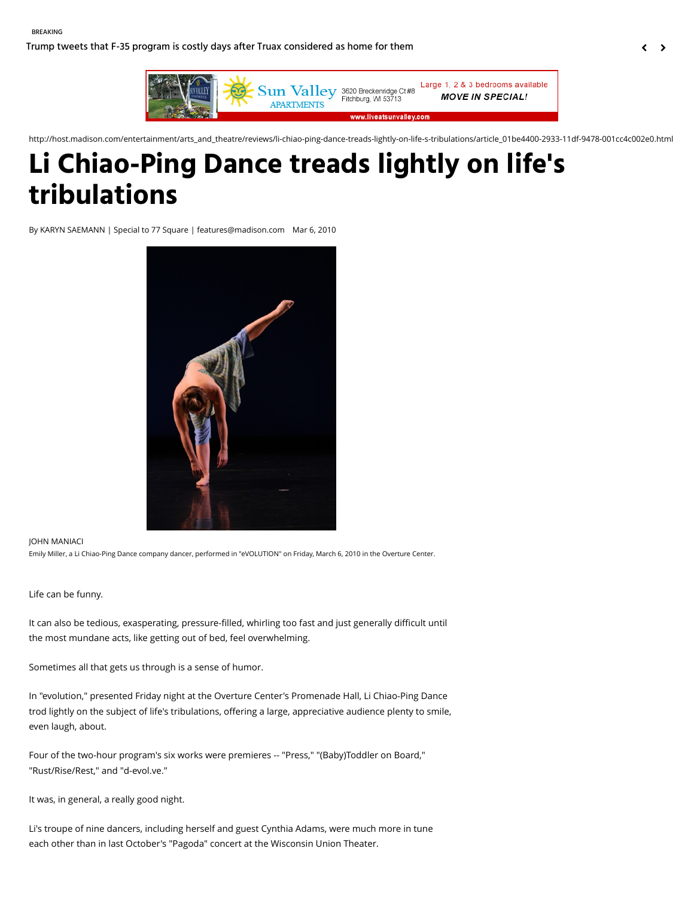[Trump tweets that F-35 program is costly days after Truax considered as home for them](http://host.madison.com/wsj/news/local/trump-tweets-that-f--program-is-costly-days-after/article_39a784b0-0e56-50d1-986d-c4819bfe2f41.html)



http://host.madison.com/entertainment/arts\_and\_theatre/reviews/li-chiao-ping-dance-treads-lightly-on-life-s-tribulations/article\_01be4400-2933-11df-9478-001cc4c002e0.html

# **Li Chiao-Ping Dance treads lightly on life's tribulations**

By KARYN SAEMANN | Special to 77 Square | features@madison.com Mar 6, 2010



#### JOHN MANIACI

Emily Miller, a Li Chiao-Ping Dance company dancer, performed in "eVOLUTION" on Friday, March 6, 2010 in the Overture Center.

#### Life can be funny.

It can also be tedious, exasperating, pressure-filled, whirling too fast and just generally difficult until the most mundane acts, like getting out of bed, feel overwhelming.

Sometimes all that gets us through is a sense of humor.

In "evolution," presented Friday night at the Overture Center's Promenade Hall, Li Chiao-Ping Dance trod lightly on the subject of life's tribulations, offering a large, appreciative audience plenty to smile, even laugh, about.

Four of the two-hour program's six works were premieres -- "Press," "(Baby)Toddler on Board," "Rust/Rise/Rest," and "d-evol.ve."

It was, in general, a really good night.

Li's troupe of nine dancers, including herself and guest Cynthia Adams, were much more in tune each other than in last October's "Pagoda" concert at the Wisconsin Union Theater.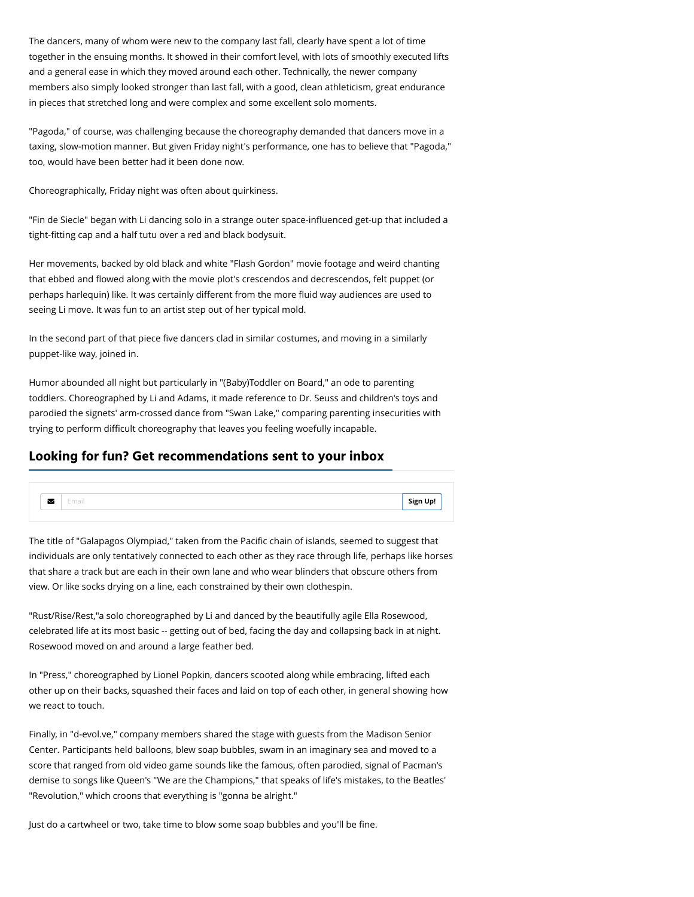The dancers, many of whom were new to the company last fall, clearly have spent a lot of time together in the ensuing months. It showed in their comfort level, with lots of smoothly executed lifts and a general ease in which they moved around each other. Technically, the newer company members also simply looked stronger than last fall, with a good, clean athleticism, great endurance in pieces that stretched long and were complex and some excellent solo moments.

"Pagoda," of course, was challenging because the choreography demanded that dancers move in a taxing, slow-motion manner. But given Friday night's performance, one has to believe that "Pagoda," too, would have been better had it been done now.

Choreographically, Friday night was often about quirkiness.

"Fin de Siecle" began with Li dancing solo in a strange outer space-influenced get-up that included a tight-fitting cap and a half tutu over a red and black bodysuit.

Her movements, backed by old black and white "Flash Gordon" movie footage and weird chanting that ebbed and flowed along with the movie plot's crescendos and decrescendos, felt puppet (or perhaps harlequin) like. It was certainly different from the more fluid way audiences are used to seeing Li move. It was fun to an artist step out of her typical mold.

In the second part of that piece five dancers clad in similar costumes, and moving in a similarly puppet-like way, joined in.

Humor abounded all night but particularly in "(Baby)Toddler on Board," an ode to parenting toddlers. Choreographed by Li and Adams, it made reference to Dr. Seuss and children's toys and parodied the signets' arm-crossed dance from "Swan Lake," comparing parenting insecurities with trying to perform difficult choreography that leaves you feeling woefully incapable.

## **Looking for fun? Get recommendations sent to your inbox**



The title of "Galapagos Olympiad," taken from the Pacific chain of islands, seemed to suggest that individuals are only tentatively connected to each other as they race through life, perhaps like horses that share a track but are each in their own lane and who wear blinders that obscure others from view. Or like socks drying on a line, each constrained by their own clothespin.

"Rust/Rise/Rest,"a solo choreographed by Li and danced by the beautifully agile Ella Rosewood, celebrated life at its most basic -- getting out of bed, facing the day and collapsing back in at night. Rosewood moved on and around a large feather bed.

In "Press," choreographed by Lionel Popkin, dancers scooted along while embracing, lifted each other up on their backs, squashed their faces and laid on top of each other, in general showing how we react to touch.

Finally, in "d-evol.ve," company members shared the stage with guests from the Madison Senior Center. Participants held balloons, blew soap bubbles, swam in an imaginary sea and moved to a score that ranged from old video game sounds like the famous, often parodied, signal of Pacman's demise to songs like Queen's "We are the Champions," that speaks of life's mistakes, to the Beatles' "Revolution," which croons that everything is "gonna be alright."

Just do a cartwheel or two, take time to blow some soap bubbles and you'll be fine.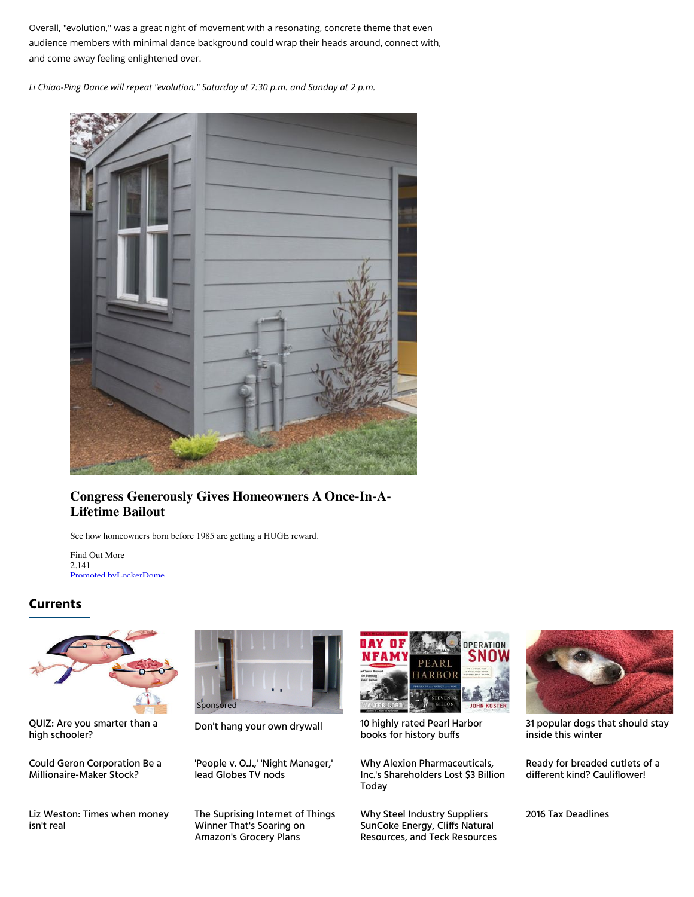Overall, "evolution," was a great night of movement with a resonating, concrete theme that even audience members with minimal dance background could wrap their heads around, connect with, and come away feeling enlightened over.

*Li Chiao-Ping Dance will repeat "evolution," Saturday at 7:30 p.m. and Sunday at 2 p.m.*



## **Congress Generously Gives Homeowners A Once-In-A-Lifetime Bailout**

See how homeowners born before 1985 are getting a HUGE reward.

Find Out More 2,141 [Promoted by](http://lockerdome.com/engaging-content)[LockerDome](http://lockerdome.com/)

## **Currents**



[QUIZ: Are you smarter than a](http://host.madison.com/quiz/quiz-are-you-smarter-than-a-high-schooler/html_fe2a61ce-c557-5391-8a81-bb6e94e65b1f.html)<br>high schooler?

[Could Geron Corporation Be a](http://host.madison.com/business/investment/markets-and-stocks/could-geron-corporation-be-a-millionaire-maker-stock/article_83274caa-3a74-596f-b81c-dac105a00676.html) Millionaire-Maker Stock?

[Liz Weston: Times when money](http://host.madison.com/business/liz-weston-times-when-money-isn-t-real/article_9e2804c2-997b-5d76-9722-9b8cdd8ab530.html) isn't real



['People v. O.J.,' 'Night Manager,'](http://host.madison.com/entertainment/people-v-o-j-night-manager-lead-globes-tv-nods/article_d03d2db5-dfd7-5e47-88da-b1914b24931c.html) lead Globes TV nods

[The Suprising Internet of Things](http://host.madison.com/business/investment/markets-and-stocks/the-suprising-internet-of-things-winner-that-s-soaring-on/article_9f8c1f5f-3073-5f79-a7c4-8c07b1fe03d8.html) Winner That's Soaring on Amazon's Grocery Plans



[Don't hang your own drywall](https://adclick.g.doubleclick.net/pcs/click%253Fxai%253DAKAOjssquvr7ohdmz1ZXy9KPCTlqXltZ8sMEn9m2g4bNuyVo90_gREiCSW6nq2JtMfNF7ynHwFT4IyYVl7jMf_gWwoMaMjh-Huk7rK_3jIVRSCHZxz5fQYVWJ9RhFIOz_SBjkXvrq54_74vHROsPrNnvMH8RvcJKp9v2iUEyh3M3VOr3YjUOegN0F_gufUn2PT5ch4yxaKZqb3IKuRcmUCe-MNT4Em1HH-22DLupitAIBo3WQ-9roRNxTYCkAeDo9ka5%2526sig%253DCg0ArKJSzL36yk4rZOABEAE%2526urlfix%253D1%2526adurl%253Dhttps://leeaws.com/featured_pros/?id=daily-headlines-remodeling-contractors&project_id=73&project=remodeling-contractors&task=52&context=asset) [10 highly rated Pearl Harbor](http://host.madison.com/highly-rated-pearl-harbor-books-for-history-buffs/collection_8955c66a-d331-5a01-8463-c345b56bd58e.html) books for history buffs

Why Alexion Pharmaceuticals, [Inc.'s Shareholders Lost \\$3 Billion](http://host.madison.com/business/investment/markets-and-stocks/why-alexion-pharmaceuticals-inc-s-shareholders-lost-billion-today/article_4b04dbd1-50ef-52a6-a6b5-4994c120cd11.html) Today

Why Steel Industry Suppliers SunCoke Energy, Cliffs Natural [Resources, and Teck Resources](http://host.madison.com/business/investment/markets-and-stocks/why-steel-industry-suppliers-suncoke-energy-cliffs-natural-resources-and/article_2b0b2888-6399-5fb0-aabd-227fb5295f2b.html)



[31 popular dogs that should stay](http://host.madison.com/lifestyles/pets/popular-dogs-that-should-stay-inside-this-winter/collection_74b0a0df-8496-548d-9f75-fe2e22478344.html) inside this winter

[Ready for breaded cutlets of a](http://host.madison.com/lifestyles/ready-for-breaded-cutlets-of-a-different-kind-cauliflower/article_5b758bc1-d161-52ca-ab08-df2916babbec.html) different kind? Cauliflower!

[2016 Tax Deadlines](http://host.madison.com/business/investment/markets-and-stocks/tax-deadlines/article_347f7076-8cf3-5aad-8636-809f68623cdc.html)